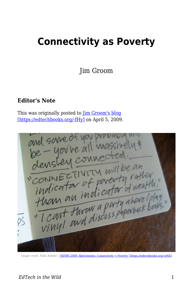## **Connectivity as Poverty**

Jim Groom

## **Editor's Note**

This was originally posted to [Jim Groom's blog](https://bavatuesdays.com/connectivity-as-poverty/)



Image credit: Mike Rohde's ["SXSWi 2009: Sketchnotes: Connectivity = Poverty" \[https://edtechbooks.org/-nMA\]](http://www.flickr.com/photos/rohdesign/3372945555/)

## *EdTech in the Wild* 1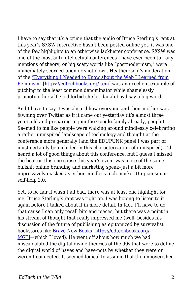I have to say that it's a crime that the audio of Bruce Sterling's rant at this year's SXSW Interactive hasn't been posted online yet. it was one of the few highlights to an otherwise lackluster conference. SXSW was one of the most anti-intellectual conferences I have ever been to—any mentions of theory, or big scary words like "postmodernism," were immediately scorned upon or shot down. Heather Gold's moderation of the ["Everything I Needed to Know about the Web I Learned from](http://panelpicker.sxsw.com/ideas/view/1886) [Feminism" \[https://edtechbooks.org/-tem\]](http://panelpicker.sxsw.com/ideas/view/1886) was an excellent example of pitching to the least common denominator while shamelessly promoting herself. God forbid she let danah boyd say a big word!

And I have to say it was absurd how everyone and their mother was fawning over Twitter as if it came out yesterday (it's almost three years old and preparing to join the Google family already, people). Seemed to me like people were walking around mindlessly celebrating a rather uninspired landscape of technology and thought at the conference more generally (and the EDUPUNK panel I was part of must certainly be included in this characterization of uninspired). I'd heard a lot of good things about this conference, but I guess I missed the boat on this one cause this year's event was more of the same bullshit online branding and marketing speak–just a bit more impressively masked as either mindless tech market Utopianism or self-help 2.0.

Yet, to be fair it wasn't all bad, there was at least one highlight for me. Bruce Sterling's rant was right on. I was hoping to listen to it again before I talked about it in more detail. In fact, I'll have to do that cause I can only recall bits and pieces, but there was a point in his stream of thought that really impressed me (well, besides his discussion of the future of publishing as epitomized by survivalist bookstores like [Brave New Books \[https://edtechbooks.org/-](http://www.bravenewbookstore.com/) [MGT\]—](http://www.bravenewbookstore.com/)which I loved). He went off about how much we had miscalculated the digital divide theories of the 90s that were to define the digital world of haves and have-nots by whether they were or weren't connected. It seemed logical to assume that the impoverished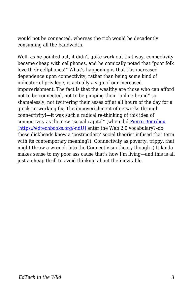would not be connected, whereas the rich would be decadently consuming all the bandwidth.

Well, as he pointed out, it didn't quite work out that way, connectivity became cheap with cellphones, and he comically noted that "poor folk love their cellphones!" What's happening is that this increased dependence upon connectivity, rather than being some kind of indicator of privilege, is actually a sign of our increased impoverishment. The fact is that the wealthy are those who can afford not to be connected, not to be pimping their "online brand" so shamelessly, not twittering their asses off at all hours of the day for a quick networking fix. The impoverishment of networks through connectivity!—it was such a radical re-thinking of this idea of connectivity as the new "social capital" (when did [Pierre Bourdieu](http://en.wikipedia.org/wiki/Pierre%20Bourdieu) [\[https://edtechbooks.org/-ndU\]](http://en.wikipedia.org/wiki/Pierre%20Bourdieu) enter the Web 2.0 vocabulary?–do these dickheads know a 'postmodern' social theorist infused that term with its contemporary meaning?). Connectivity as poverty, trippy, that might throw a wrench into the Connectivism theory though :) It kinda makes sense to my poor ass cause that's how I'm living—and this is all just a cheap thrill to avoid thinking about the inevitable.